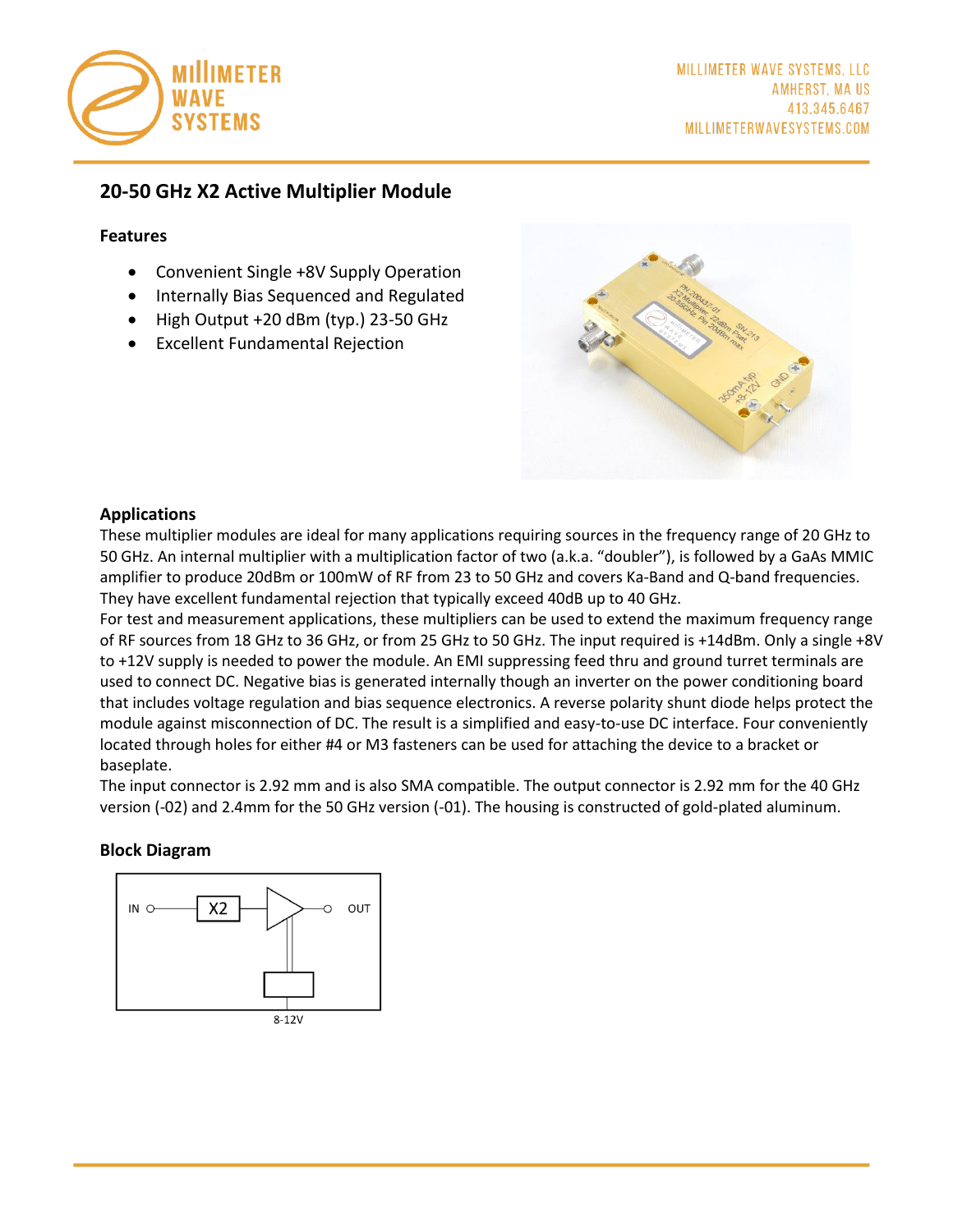

## **20-50 GHz X2 Active Multiplier Module**

#### **Features**

- Convenient Single +8V Supply Operation
- Internally Bias Sequenced and Regulated
- High Output +20 dBm (typ.) 23-50 GHz
- Excellent Fundamental Rejection



### **Applications**

These multiplier modules are ideal for many applications requiring sources in the frequency range of 20 GHz to 50 GHz. An internal multiplier with a multiplication factor of two (a.k.a. "doubler"), is followed by a GaAs MMIC amplifier to produce 20dBm or 100mW of RF from 23 to 50 GHz and covers Ka-Band and Q-band frequencies. They have excellent fundamental rejection that typically exceed 40dB up to 40 GHz.

For test and measurement applications, these multipliers can be used to extend the maximum frequency range of RF sources from 18 GHz to 36 GHz, or from 25 GHz to 50 GHz. The input required is +14dBm. Only a single +8V to +12V supply is needed to power the module. An EMI suppressing feed thru and ground turret terminals are used to connect DC. Negative bias is generated internally though an inverter on the power conditioning board that includes voltage regulation and bias sequence electronics. A reverse polarity shunt diode helps protect the module against misconnection of DC. The result is a simplified and easy-to-use DC interface. Four conveniently located through holes for either #4 or M3 fasteners can be used for attaching the device to a bracket or baseplate.

The input connector is 2.92 mm and is also SMA compatible. The output connector is 2.92 mm for the 40 GHz version (-02) and 2.4mm for the 50 GHz version (-01). The housing is constructed of gold-plated aluminum.

### **Block Diagram**

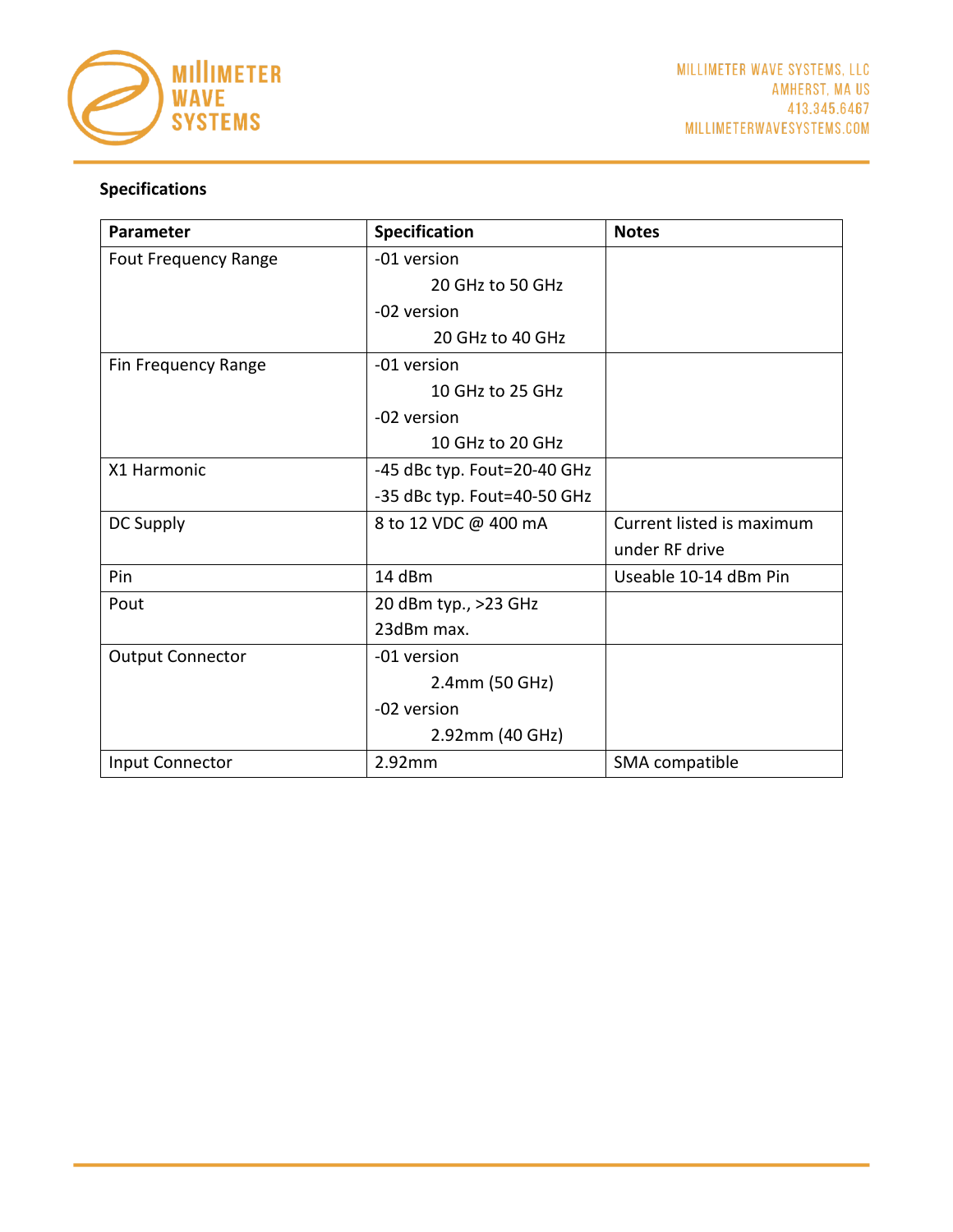

# **Specifications**

| Parameter                   | Specification               | <b>Notes</b>              |
|-----------------------------|-----------------------------|---------------------------|
| <b>Fout Frequency Range</b> | -01 version                 |                           |
|                             | 20 GHz to 50 GHz            |                           |
|                             | -02 version                 |                           |
|                             | 20 GHz to 40 GHz            |                           |
| Fin Frequency Range         | -01 version                 |                           |
|                             | 10 GHz to 25 GHz            |                           |
|                             | -02 version                 |                           |
|                             | 10 GHz to 20 GHz            |                           |
| X1 Harmonic                 | -45 dBc typ. Fout=20-40 GHz |                           |
|                             | -35 dBc typ. Fout=40-50 GHz |                           |
| DC Supply                   | 8 to 12 VDC @ 400 mA        | Current listed is maximum |
|                             |                             | under RF drive            |
| Pin                         | 14 dBm                      | Useable 10-14 dBm Pin     |
| Pout                        | 20 dBm typ., >23 GHz        |                           |
|                             | 23dBm max.                  |                           |
| <b>Output Connector</b>     | -01 version                 |                           |
|                             | 2.4mm (50 GHz)              |                           |
|                             | -02 version                 |                           |
|                             | 2.92mm (40 GHz)             |                           |
| Input Connector             | 2.92mm                      | SMA compatible            |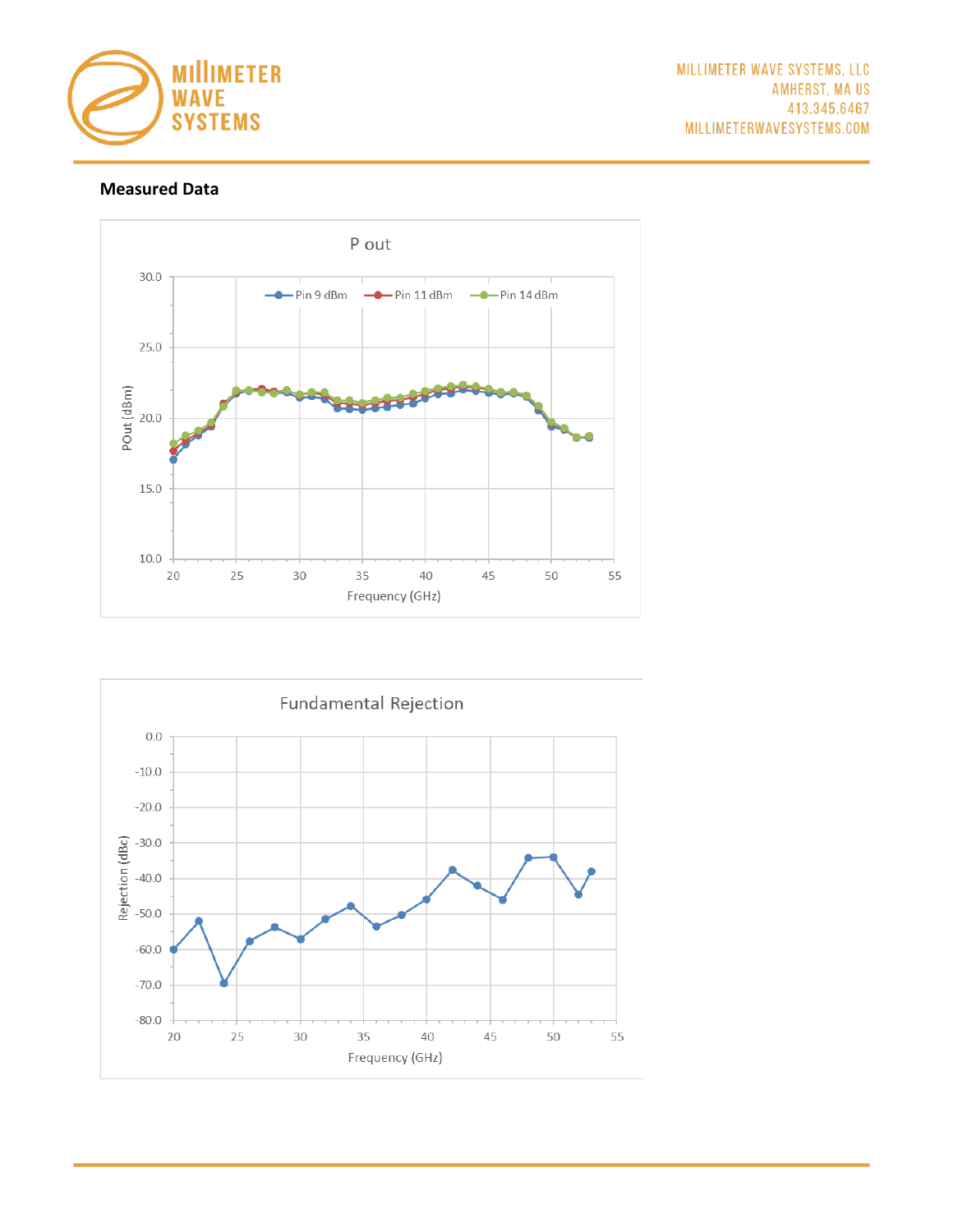

## **Measured Data**